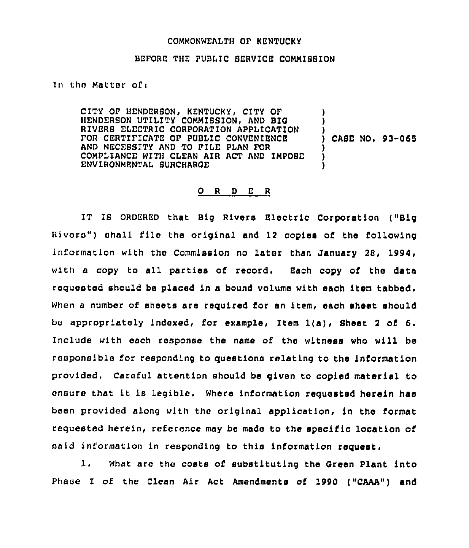### COMMONWEALTH OF HENTUCKY

#### BEFORE THE PUBLIC SERVICE COMMISBION

In the Matter of <sup>i</sup>

CITY OF HENDERSON, KENTUCKY, CITY OF HENDERSON UTILITY COMMISSION, AND BIG RIVERS ELECTRIC CORPORATION APPLICATION FOR CERTIFICATE OF PUBLIC CONVENIENCE AND NECESSITY AND TO FILE PLAN FOR COMPLIANCE WITH CLEAN AIR ACT AND IMPOSE ENVIRONMENTAL SURCHARGE ) ) ) ) CASE NO. 93-065 ) ) )

## 0 <sup>R</sup> <sup>D</sup> <sup>E</sup> <sup>R</sup>

IT IS ORDERED that Big Rivers Electric Corporation ("Big Rivers" ) shall file the original and 12 copies of the following information with the Commission no later than January 28, l994, with a copy to all parties of record. Each copy of the data requested should be placed in a bound volume with each item tabbed. When a number of sheets are required for an item, each sheet should be appropriately indexed, for example, Item 1(a), Sheet <sup>2</sup> of 6. Include with each response the name of the witness who will be responsible for responding to questions relating to the information provided. careful attention should be given to copied mater'ial to ensure that it is legible. Where information requested herein has been provided along with the original application, in the format requested herein, reference may be made to the specific location of said information in responding to this information request.

1. What are the costs of substituting the Green Plant into Phase I of the Clean Air Act Amendments of 1990 ("CAAA") and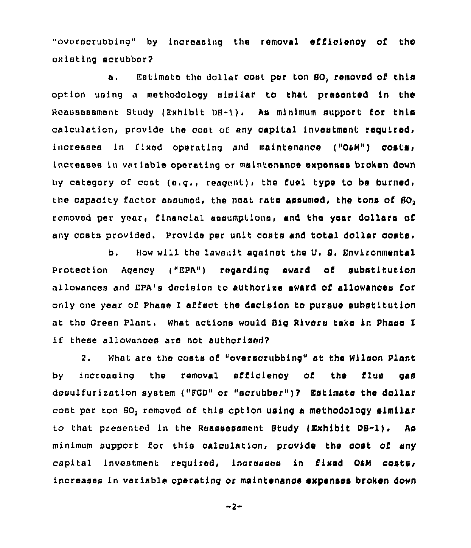"ovorocrubbing" by increasing the removal efficienoy of the oxistlng scrubber?

a. Estimate the dollar cost per ton 80, removed of this option using a methodology similar to that presented in the Reassessment Study (Exhibit DB-1). As minimum support for this calculation, provide the cost of any capital investment required, increases in fixed operating and maintenance ("O&M") costs, increases in variable operating or maintenance expenses broken down by category of cost (e.g., reagent), the fuel type to be burned, the capacity factor assumed, the heat rate assumed, the tons of  $80<sub>2</sub>$ removed per year, financial assumptions, and the year dollars of any costs provided. Provide per unit costs and total dollar costs.

b. How will the lawsuit against the U. S. Environmental protection Agency ("Epa") regarding award of substitution allowances and EPA's decision to authorize award of allowances for only one year cf phase <sup>1</sup> affect the decision to pursue substitution at the Green Plant. What actions would Big Rivers take in Phase I if these allowances are not authorized'.

 $2.$ What are the costs of "overscrubbing" at the Wilson plant by increasing the removal efficiency of the flue gas desulfurization system ("FGD" or "scrubber")? Estimate the dollar coot per ton SO, removed of this option using a methodology similar to that presented in the Reassessment Study (Exhibit DS-1). As minimum support for this calculation, provide the cost of any capital investment required, increases in fixed O4M costs, increases in variable operating or maintenance expenses broken down

 $-2-$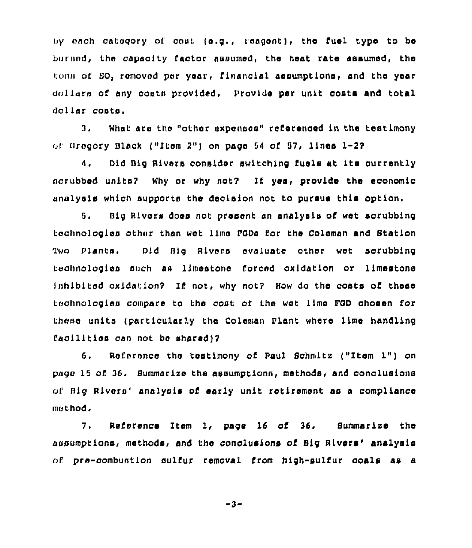by each category of cont (e.g., reagent), the fuel type to be burned, the capacity factor assumed, the heat rate assumed, the ton» of BO, removed per year, financial aesumptione, and the year dollars of any costs provided. Provide per unit costs and total dollar costs.

3. What are the "other expenses" referenced ln the testimony of Gregory Black ("Item 2") on page 54 of 57, lines 1-27

4. Did Big Rivers consider switching fuels at its currently ncrubbed units7 Why or why not7 If yes, provide the economio analysis which supports the decision not to pursue this option.

5. Big Rivers does not present an analysis of wet scrubbing technologies other than wet lime FGDs for the Coleman and Station Two Plants. Did Big Rivers evaluate other wet scrubbing technologies such aa limestone forced oxidation or limestone Inhibited oxldatlon7 If not, why not7 How do the costs of these technologies compare to the cost or the wet lime POD chosen for these units (particularly the Coleman Plant where lime handling facilities can not be shared)?

6. Reference the testimony of Paul Schmitz ("Item 1") on pago 15 of. 36. Summarize the assumptlonn, methods, and conclusions of Big Rivers' analysis of early unit retirement as a compliance method,

7. Reference Item 1, page 16 of 36. Summarize the assumptions, methods, and the conclusions of Big Rivers' analysis  $of$  pre-combustion sulfur removal from high-sulfur coals as a

$$
-3-
$$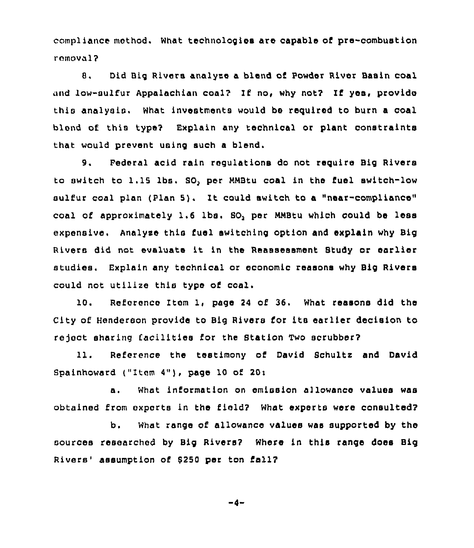compliance method. What technologies are capable of pre-combustion removal?

8, Did Big Rivers analyse a blend of Powder River Basin coal and low-sulfur Appalachian coal? If no, why not? If yes, provide this analysis. What investments would be required to burn a coal blend of this type? Explain any technical or plant constraints that would prevent using such a blend.

9. Federal acid rain requistions do not require Big Rivers to switch to 1.15 lbs. SO, per NMBtu coal in the fuel switch-low sulfur coal plan (Plan 5i. It could switch to <sup>a</sup> "near-compliance" coal of approximately 1.6 lbs. SO, per MMBtu which could be less expensive. Analyse this fuel switching option and explain why Big Rivers did not evaluate it in the Reassessment Study or earlier studies. Explain any technical or economic reasons why Big Rivers could not utilize this type of coal.

10. Reference Item 1, page <sup>24</sup> of 36. What reasons did the City of Henderson provide to Big Rivers for its earlier decision to reject sharing facilities for the Station Two scrubber?

11. Reference the testimony of David Schultz and David Spainhoward ("Item  $4"$ ), page 10 of 20:

a. What information on emission allowance values was obtained from experts in the field? What experts were consulted?

b. What range of allowance values was supported by the sources researched by Big Rivers? Where in this range does Big Rivers' assumption of \$250 per ton fall?

$$
-4-
$$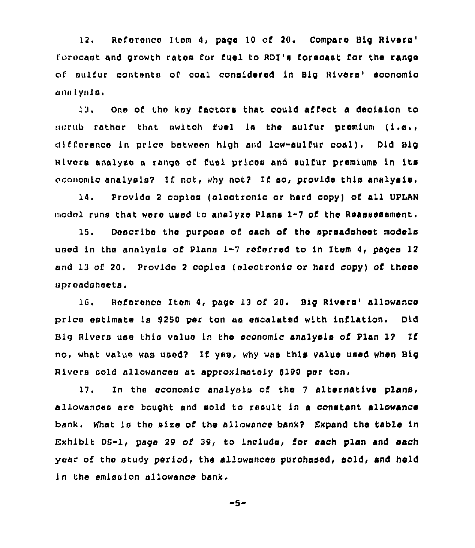12. Reference Item 4, page 10 of 20. Compare Big Rivers' and growth rates for fuel to RDI's forecast for the range of sulfur contents of coal considered in Big Rivers' economic analysis.

13. One of thc koy faotors that could affect a decision to  $\alpha$  rather that switch fuel is the sulfur premium (i.e., difference in price between high and low-sulfur coal). Did Big Rivors analyze a range of fuel prices and sulfur premiums in its economic analysis? If not, why not? If so, provide this analysis.

14. Provide <sup>2</sup> copies (electronic or hard copy) of all UPIAN model runs that were used to analyze Plans 1-7 of the Reassessment.

15. Describe the purpose of each of tha spreadsheet models used in the analysis of Plans 1-7 referred to in Item 4, pages 12 and 13 of 20. Provide 2 copies (electronic or hard copy) of these spreadsheets.

16. Reference Item 4, page 13 of 20. Big Rivers' allowance price estimate is \$250 per ton as escalated with inflation. Did Big Rivers use this value ln the economic analysis of Plan 17 If no, what value was used? If yes, why was this value used when Big Rivers sold allowances at approximately \$190 per ton.

17. In the economic analysis of the <sup>7</sup> alternative plans, allowances are bought and sold to result in a constant allowance bank. What is the sixe of the allowance bank7 Expand the table in Exhibit DS-1, page 29 cf 39, to include, for each plan and each year of the study period, the allowances purchased, sold, and held in the emission allowance bank.

 $-5-$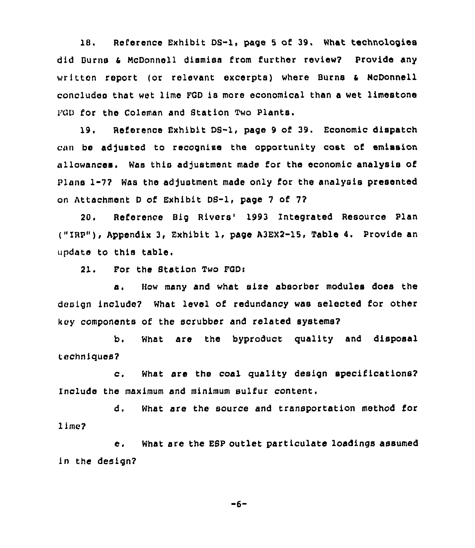18. Reference Exhibit DS-l, page <sup>S</sup> of 39. What technologies did Burns & McDonnell dismiss from further review? Provide any written report (or relevant excerpts) where Burns <sup>4</sup> McDonnell concludes that wet lima FGD is more economical than a wet limestone FGD for the Coleman and Btation Two Plants.

19. Reference Exhibit DB-1, page 9 of 39. Economic dispatch can be adjusted to recognise the opportunity cost of emission allowances, Was this adjustment made for the economic analysis of Plans 1-7? Was the adjustment made only for the analysis presented on Attachment <sup>D</sup> of Exhibit DB-1, page 7 of 7?

20. Reference Big Rivers'993 integrated Resource Plan ("IRP"), Appendix 3, Exhibit 1, page A3EX2-15, Table 4. Provide an update to this table.

21. For the Station Two FGDi

a. How many and what sire absorber modules does the design include? What level of redundancy was selected for other key components of the scrubber and related systems?

b. What are the byproduct quality and disposal techniques?

c. What are the coal quality design specifications? include the maximum and minimum sulfur content.

d. What are the source and transportation method for lime?

e. What are the ESP outlet particulate loadings assumed in the design?

 $-6-$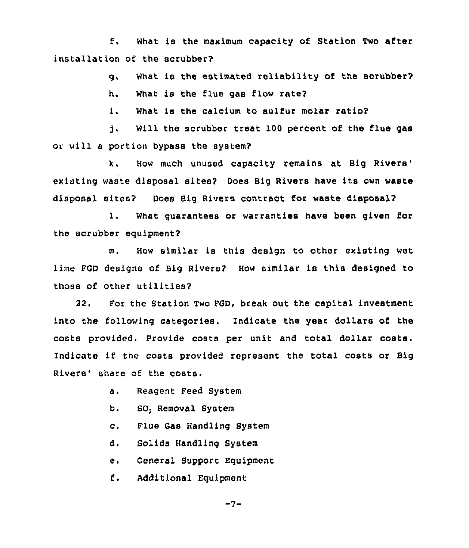f. What is the maximum capacity of Station Two after installation of the scrubber?

g. What is the estimated reliability of the scrubber?

h. What is the flue gas flow rate2

i. What is the calcium to sulfur molar ratio?

Will the scrubber treat 100 percent of the flue gas ነ. or will a portion bypass the system?

k. How much unused capacity remains at Big existing waste disposal sites? Does Big Rivers have its own waste disposal sites2 Does Big Rivers contract for waste disposal?

1. What guarantees or warranties have been given for the scrubber equipment2

m. How similar is this design to other existing wet lime FGD designs of Big Rivers? How similar is this designed to those of other utilities?

22. For the Station Two PGD, break out the capital investment into the following categories. Indicate the year dollars of the costs provided. Provide costs per unit and total dollar costs. Indicate if the costs provided represent the total costs or Big Rivers' share of the costs.

- Reagent Feed System  $a<sub>1</sub>$
- b. SO, Removal System
- $\mathbf{c}$ . Flue Gas Handling System
- d. Solids Handling System
- e. General Support Equipment
- $E_{\bullet}$ Additional Equipment

 $-7-$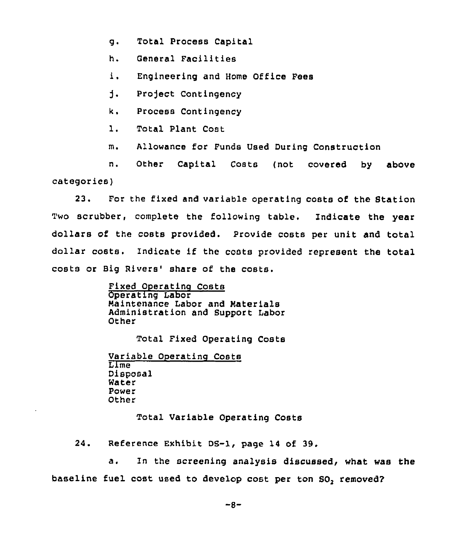- g. Total Process Capital
- h. General Facilities
- i. Engineering and Home Office Fees
- i. Pro)ect Contingency
- k. Process Contingency
- 1. Total Plant Cost
- m. Allowance for Funds used During Construction

n. Other Capital Costs (not covered by above categories)

23. For the fixed and variable operating costs of the Station Two scrubber, complete the following table. Indicate the year dollars of the costs provided. Provide costs per unit and total dollar costs. indicate if the costs provided represent the total costs or Big Rivers' share of the costs.

> Fixed Operatino Costs Operating Labor Maintenance Labor and Materials Administration and Support Labor Other

> > Total Fixed Operating Costs

Variable Operating Costs Lime Disposal Water Power Other

Total Variable Operating Costs

24. Reference Exhibit DS-1, page 14 of 39.

baseline fuel cost used to develop cost per ton  ${SO}_2$  removed a. In the screening analysis discussed, what was the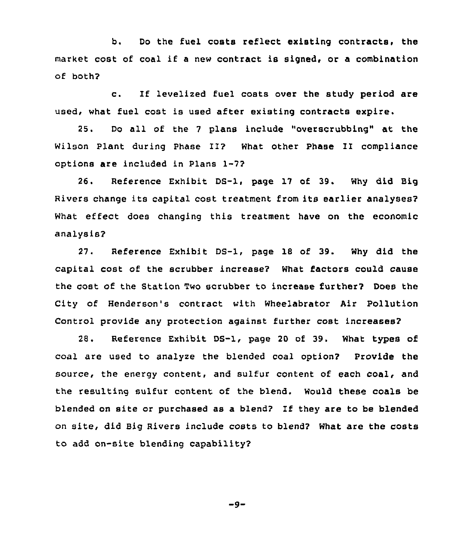b. Do the fuel costs reflect existing contracts, the market cost of coal if <sup>a</sup> new contract is signed, or <sup>a</sup> combination of both?

c. If levelized fuel costs over the study period are used, what fuel cost is used after existing contracts expire.

25. Do all of the <sup>7</sup> plans include "overscrubbing" at the Wilson Plant during Phase II? What other Phase II compliance options are included in Plans 1-7?

26. Reference Exhibit DS-1, page 17 of 39. Why did Big Rivers change its capital cost treatment from its earlier analyses? What effect does changing this treatment have on the economic analysis?

27. Reference Exhibit DS-1, page 18 of 39. Why did the capital cost of the scrubber increase? What factors could cause the cost of the Station Two scrubber to increase further? Does the City of Henderson's contract with Wheelabrator Air Pollution Control provide any protection against further cost increases?

28. Reterence Exhibit DS-1, page 20 of 39. What types of coal are used to analyze the blended coal option? Provide the source, the energy content, and sulfur content of each coal, and the resulting sulfur content of the blend. Would these coals be blended on site or purchased as a blend? If they are to be blended on site, did Big Rivers include costs to blend? What are the costs to add on-site blending capability?

 $-9-$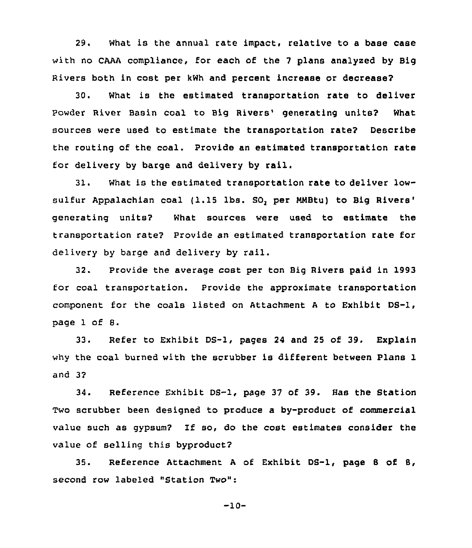29. What is the annual rate impact:, relative to a base case with no CAAA compliance, for each of the 7 plans analyzed by Big Rivers both in cost per kWh and percent increase or decrease?

30. What is the estimated transportation rate to deliver Powder River Basin coal to Big Rivers' generating units? What sources were used to estimate the transportation rate? Describe the routing of the coal. Provide an estimated transportation rate for delivery by barge and delivery by rail.

3l. What is the estimated transportation rate to deliver lowsulfur Appalachian coal (1.15 lbs. SO, per MMBtu) to Big Rivers' generating units? What sources were used to estimate the transportation rate? Provide an estimated transportation rate for delivery by barge and delivery by rail.

32. Provide the average cost per ton Big Rivers paid in 1993 for coal transportation. Provide the approximate transportation component for the coals listed on Attachment <sup>A</sup> to Exhibit DS-1, page 1 of 8.

33. Refer to Exhibit DS-1, pages 24 and 25 of 39. Explain why the coal burned with the scrubber is different between Plans 1 and 3?

34. Reference Exhibit DS-1, page 37 of 39. Has the Station Two scrubber been designed to produce a by-product of commercial value such as gypsum? If so, do the cost estimates consider the value of selling this byproduct?

35. Reference Attachment <sup>A</sup> of Exhibit DS-1, page 8 of 8, second row labeled "Station Two":

-10-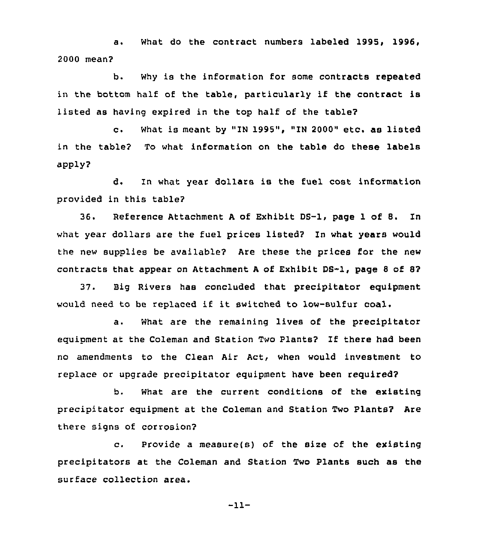a. What do the contract numbers labeled 1995, 1996, 2000 mean?

b. Why is the information for some contracts repeated in the bottom half of the table, particularly if the contract is listed as having expired in the top half of the table?

c. What is meant by "IN 1995", "IN 2000" etc. as listed in the table? To what information on the table do these labels apply?

d. In what year dollars is the fuel cost information provided in this table?

36. Reference Attachment <sup>A</sup> of Exhibit DS-1, page 1 of 8. In what year dollars are the fuel prices listed? In what years would the new supplies be available? Are these the prices for the new contracts that appear on Attachment A of Exhibit DS-1, page 8 of 8?

37. Big Rivers has concluded that precipitator equipment would need to be replaced if it switched to low-sulfur coal.

a. What are the remaining lives of the precipitator equioment at the Coleman and Station Two Plants? If there had been no amendments to the Clean Air Act, when would investment to replace or upgrade precipitator equipment have been required?

b. What are the current conditions of the existing precipitator equipment at the Coleman and Station Two Plants? Are there signs of corrosion?

c. Provide <sup>a</sup> measure(s) of the size of the existing precipitators at the Coleman and Station Two Plants such as the surface collection area.

-11-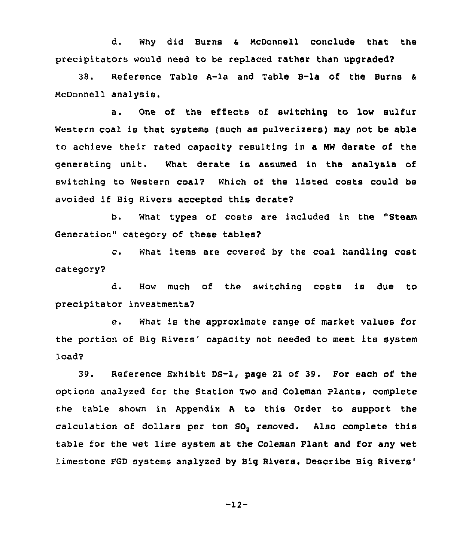d. Why did Burns a McDonnell conclude that the precipitators would need to be replaced rather than upgraded?

38. Reference Table A-la and Table B-la of the Burns McDonnell analysis.

a. One of the effects of switching to low sulfur Western coal is that systems (such as pulverizers) may not be able to achieve their rated capacity resulting in a MW derate of the generating unit. What derate is assumed in the analysis of switching to Western coal? Which of the listed costs could be avoided if Big Rivers accepted this derate?

b. What types of costs are included in the "Steam Generation" category of these tables?

c. What items are covered by the coal handling cost category2

d. How much of the switching costs is due to precipitator investments2

e. What is the approximate range of market values for the portion of Big Rivers' capacity not needed to meet its system load2

39. Reference Exhibit DS-1, page 21 of 39. For each of the options analyzed for the Station Two and Coleman Plants, complete the table shown in Appendix <sup>A</sup> to this Order to support the calculation of dollars per ton SO, removed. Also complete this table for the wet lime system at the Coleman Plant and for any wet limestone FGD systems analyzed by Big Rivers. Describe Big Rivers'

 $-12-$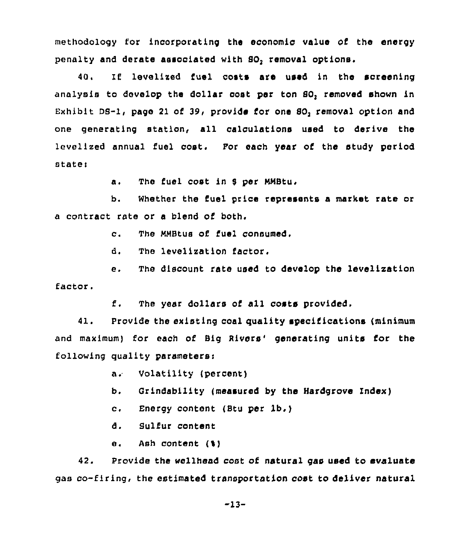methodology for incorporating the economic value of the energy penalty and derate assooisted with SO, removal options.

40. If levelized fuel costs are used in the screening analysis to develop the dollar cost per ton SO, removed shown in Exhibit DS-I< page 21 of 39, provide for one SO, removal option and one generating station, all calculations used to derive the levelized annual fuel coot. Por each year of the study period state:

a. The fuel cost in \$ per MMBtu.

b. Whether the fuel price represents a market rate or a contract rate or s blend of both.

c. The RMBtus of fuel consumed,

d. The levelization factor.

e. The discount rate used to develop the levelizstion factor.

f. The year dollars of all costs provided,

41. Provide the existing coal quality specifications (minimum and maximum) for each of Big Rivers' generating units for the following quality parsmeterei

a. Volatility (percent)

b. Grindsbility (measured by the Hardgrove Index)

c. Energy content (Stu per lb.)

d. Sulfur content

e. Ash content (%)

42. Provide the wellhead cost of natural gas used to evaluate gas co-firing, the estimated transportation cost to deliver natural

 $-13-$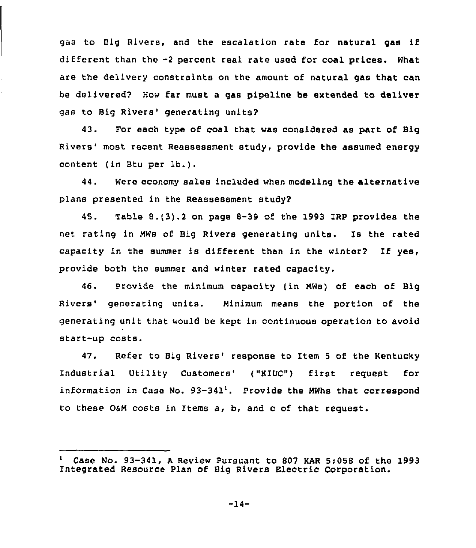gas to Big Rivers, and the escalation rate for natural gas if different than the -2 percent real rate used for coal prices. What are the delivery constraints on the amount of natural gas that can be delivered? How far must a gas pipeline be extended to deliver gas to Big Rivers' generating units?

43. For each type of coal that was considered as part of Big Rivers' most recent Reassessment study, provide the assumed energy content (in Btu per lb.).

44. Were economy sales included when modeling the alternative plans presented in the Reassessment study?

45. Table 8.(3}.2on page 8-39 of the 1993 IRP provides the net rating in NWs of Big Rivers generating units. Is the rated capacity in the summer is different than in the winter? If yes, provide both the summer and winter rated capacity.

46. Provide the minimum capacity (in NWs) of each of Big Rivers' generating units. Minimum means the portion of the generating unit that would be kept in continuous operation to avoid start-up costs.

47. Refer to Big Rivers' response to Item 5 of the Kentucky Industrial Utility Customers' ("KIUC") first request for information in Case No. 93-341'. Provide the NWhs that correspond to these OSN costs in Items a, b, and c of that request.

Case No. 93-341, <sup>A</sup> Review Pursuant to 807 KAR 5:058 of the 1993 Integrated Resource Plan of Big Rivers Electric Corporation.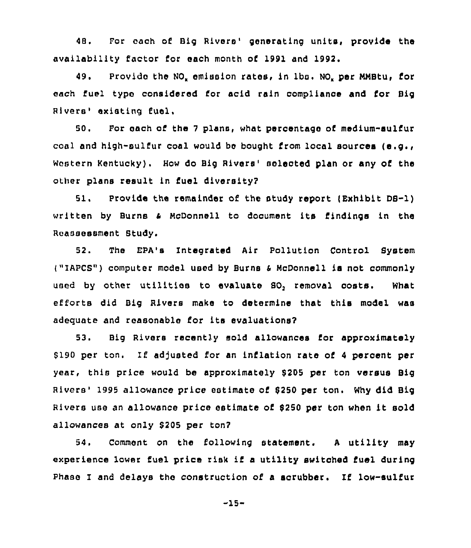48. For each of Big Rivers' generating units, provide the availability factor for each month of 1991 and 1992.

49. Provide the NO<sub>"</sub> emission rates, in lbs. NO<sub>"</sub> per MMBtu, for each fuel typo considered for acid rain compliance and for Big Rivers' existing fuel.

50. For each of the 7 plans, what percentage of medium-sulfur coal and high-sulfur coal would be bought from local sources (e.g., Western Kentucky). How do Big Rivers' sclected plan or any of the other plans result in fuel diversity?

51. Provide the remainder of the study report (Exhibit DB-1) written by Burns <sup>4</sup> HcOonnell to document its Cindings in the Reassessment Study.

52. The EPA's Integrated Air Pollution Control System j"IAPCS") computer model used by Burne <sup>4</sup> McDonnell is not commonly used by other utilities to evaluate SO, removal costs. What efforts did Big Rivers make to determine that this model was adequate and reasonable for its evaluations?

53. Big Rivers recently sold allowances Cor approximately \$190 per ton. If adjusted for an inflation rate of 4 percent per year, this price would be approximately 5205 per ton versus Big Rivers' 1995 allowance price estimate of \$250 per ton. Why did Big Rivers use an allowance price estimate of <sup>5250</sup> per ton when it sold allowances at only 5205 per ton?

54. Comment on the following statement. <sup>A</sup> utility may experience lower fuel price risk if a utility switched fuel during Phase I and delays the construction of <sup>a</sup> scrubber. If low-sulfur

 $-15-$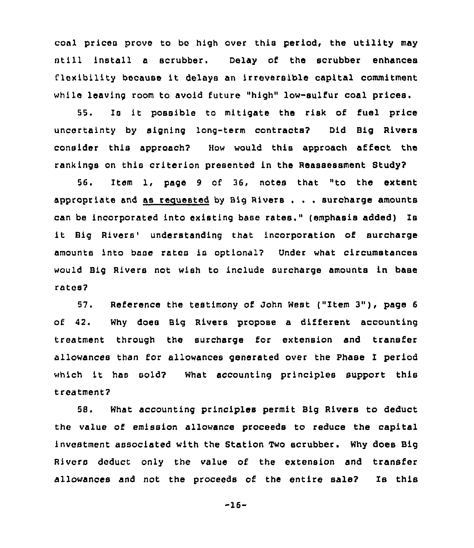coal prices prove to be high over this period, the utility may still install <sup>a</sup> scrubber. Delay of the scrubber enhances flexibility because it delays an irreversible capital commitment while leaving room to avoid future "high" low-sulfur coal prices.

55. Is it possible to mitigate the risk of fuel price uncertainty by signing long-term contracts? Did Big Rivers consider this approach? How would this approach affect the rank ings on this criterion presented in the Reassessment Study?

56. Item 1, page <sup>9</sup> of 36, notes that "to the extent appropriate and as recuested by Big Rivers . . . surcharge amounts can be incorporated into existing base rates," (emphasis added) Is it Big Rivers' understanding that incorporation of surcharge amounts into base rates is optional'? Onder what circumstances would Big Rivers not wish to include surcharge amounts in base rates?

57. Reference the testimony of John West ("Item 3"), page <sup>6</sup> of 42. Why does Big Rivers propose a different accounting treatment through the surcharge for extension and transfer allowances than for allowances generated over the Phase I period which it has sold? What accounting principles support this treatment?

58, What accounting principles permit Big Rivers to deduct the value of emission allowance proceeds to reduce the capital investment associated with the Station Two scrubber. Why does Big Rivers deduct only the value of the extension and transfer allowances and not the proceeds of the entire sale? Is this

-16-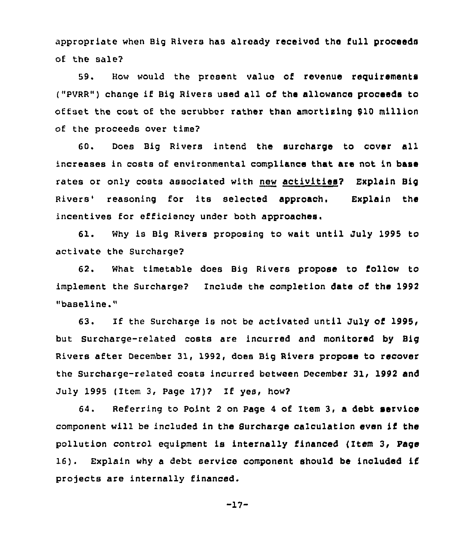appropriate when Big Rivers has already received the full proceeds of the sale?

59. How would the present value of revenue requirements ("PVRR") change if Big Rivers used all of the allowance proceeds to offset the cost of the scrubber rather than amortising 910 million of the proceeds over time?

60. Does Big Rivers intend the surcharge to cover all increases in costs of environmental compliance that are not in base rates or only costs associated with new activities? Explain Big Rivers'easoning for its selected approach. Explain the incentives for efficiency under both approaches.

Why is Big Rivers proposing to wait until July 1995 to  $61.$ activate the Surcharge?

62. What timetable does Big Rivers propose to follow to implement the Surcharge? Include the completion date of the 1992 "baseline."

63. If the Surcharge is not be activated until July of 1995< but Surcharge-related costs are incurred and monitored by Big Rivers after December 31, 1992, does Big Rivers propose to recover the Surcharge-related costs incurred between December 31, 1992 and July 1995 (Item 3, Page 1?)? If yes, how?

64. Referring to Point <sup>2</sup> on Page 4 of Item 3, a debt servioe component will be included in the Surcharge calculation even if the pollution control equipment is internally financed (Item 3, Page 16). Explain why <sup>a</sup> debt service component should be included if projects are internally financed.

$$
-17-
$$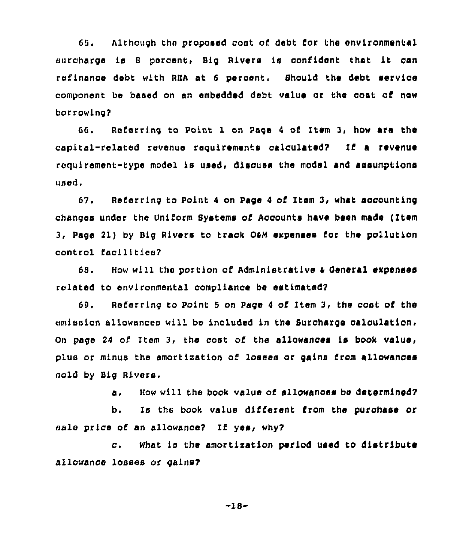68. Although tho proposed cost of debt for the environmental surcharge is <sup>8</sup> percent, Big Rivers is confident that it can refinance debt with RBA at 6 percent. Should the debt service component be based on an embedded debt value or the cost of new borrowing?

66, Referring to point 1 on Page <sup>4</sup> of Item 3, how are the capital-related revenue reguirements calculated7 If a revenue requirement-type model is used, discuss the model and assumptions used.

G?. Referring to Point <sup>4</sup> on Page <sup>4</sup> of Item 3< what accounting changes under the Uniform Systems of Aooounts have been made ( Item 3, Page 2l) by Big Rivers to track 04M expenses Cor the pollution control Cacilitics?

68. How will the portion of Administrative & General expenses rolated to environmental compliance be estimated?

69. Referring to Point <sup>5</sup> on Page <sup>4</sup> cf Item 3, the cost of the emission allowances will be included in the Surcharge calculation. On pago <sup>24</sup> of Item 3, the cost of the allowances is book value, plus or minus the amortixation of losses or gains Crom allowances sold by Big Rivers.

a. How will the book value of allowances be determined?

b. Is the book value different Crom the purchase or sale price of an allowance? If yes, why?

c. What is the amortixation period used to distribute allowance losses or gains?

-18-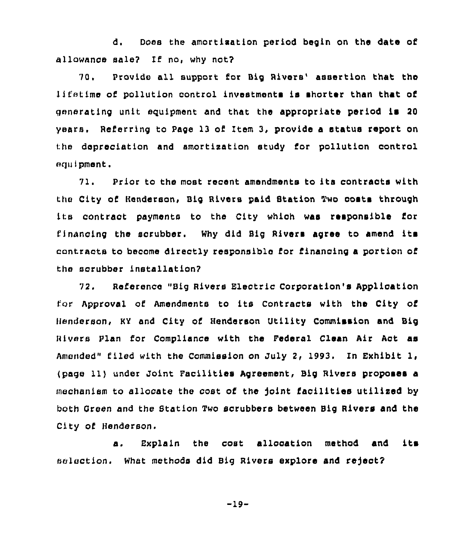d. Doss the amortisation period begin on the date of allowance sale? If no, why not?

70. Provide all support for Big Rivers' assertion that the Ii fetime of pollution control investments is shorter than that of generating unit equipment and that the appropriate period is 20 years. Referring to Page 13 of Item 3, provide a status report on the depreciation and amortixation study for pollution control equipment.

71. Prior to the most recent amendments to its contraots with the City of Henderson, Big Rivers paid Station Two costs through its contract payments to the City which was responsible for financing the scrubber. Why did Big Rivers agree to amend its contracts to become directly responsible for financing a portion of the scrubber installation7

72. Reierence "Big Rivers Electric Corporation's Application for Approval of Amendments to its Contracts with the City of Henderson, KY and City of Henderson Utility Commission and Big Rivers Plan for Compliance with the Pederal Clean Air Act as Amended" filed with the Commission on July 2, 1993. In Exhibit I, (page 11) under Joint Facilities Agreement, Big Rivers proposea a mechanism to allocate the cost of the joint facilities utilized by both Green and the Btation Two scrubbers between Big Rivers and the City of Henderson.

a. Explain the cost ailooation method and its selection. What methods did Big Rivers explore and reject?

 $-19-$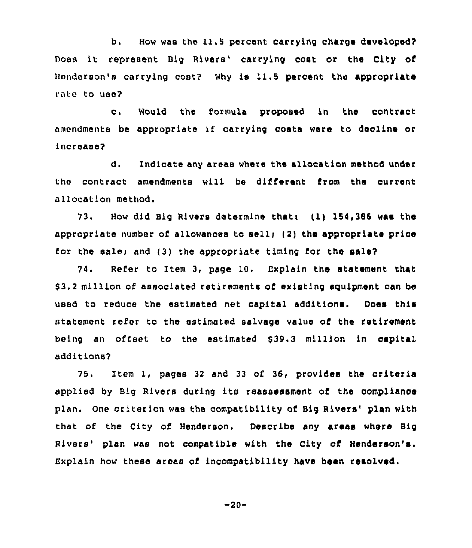b. How was the 11.5 percent carrying charge developed? Does it represent Big Rivers' carrying cost or the City of Henderson's carrying cost? why is 11.5 percent thu appropriate rate to use?

c. Would the formula proposed in the contract amendments be appropriate if carrying costs ware to deoline or increase?

d. Indicate any areas where the allocation method under the contract amendments will be different from the current allocation method.

73. How did Big Rivers determine thati (1) 154,386 was the appropriate number of allowances to sell; (2) the appropriate price for the sale; and (3) the appropriate timing for the sale?

74. Refer to Item 3, page 10. Explain the statement that \$ 3.2 million of associated retirements of existing equipment can be used to reduce the estimated net capital additions. Does this statement refer to the estimated salvage value of the retirement being an offset to the estimated 539.3 million in capital additions?

75. Item 1, pages <sup>32</sup> and <sup>33</sup> of 36, provides the criteria applied by Big Rivers during its reassessment of the compliance plan. One criterion was the compatibility of Big Rivers' plan with that of the City of Henderson. Describe any areas where Big Rivers' plan was not compatible with the City of Henderson's. Bxplain how these aroas of incompatibility have been resolved.

-20-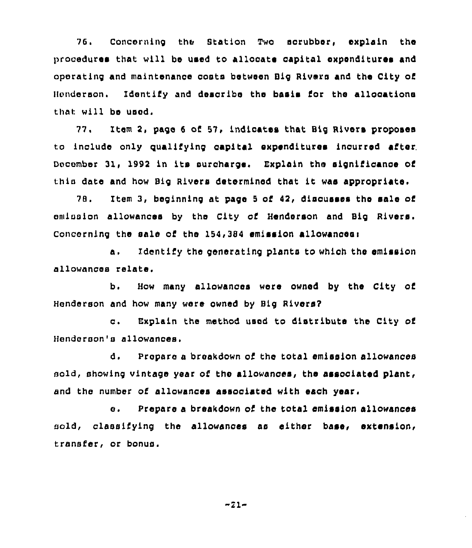76. Concerning the Station Two sorubber, explain the procedures that will be used to allocate oapital expenditures and operating and maintenance costs between Big Rivers and the City of Henderson. Identify and describe the basis for the allocationa that will be used.

77. Item 2, page 6 of 57, indicates that Big Rivers proposes to include only qualifying capital expenditures inourred after. December 31, 1992 in its surcharge. Explain the significance of thin date and how Big Rivers determined that it was appropriate.

78. Item 3, beginning at page <sup>8</sup> of 42, discusses the sale of emission allowances by the City of Henderson and Big Rivers. Concerning the sale of the 154,384 emission allowanceei

a. Identify the generating planta to which the emission allowances relate,

b. How many allowances were owned by the City of Henderson and how many were owned by Big Rivers7

c. Explain the method used to distribute the City of Henderson's allowances,

d. Prepare a breakdown of the total emission allowances sold, showing vintage year of the allowances, the associated plant, and the number of allowances associated with each year.

e. Prepare <sup>a</sup> breakdown of the total emission allowances cold, classifying the allowances as either base, extension, transfer, or bonus.

 $-21-$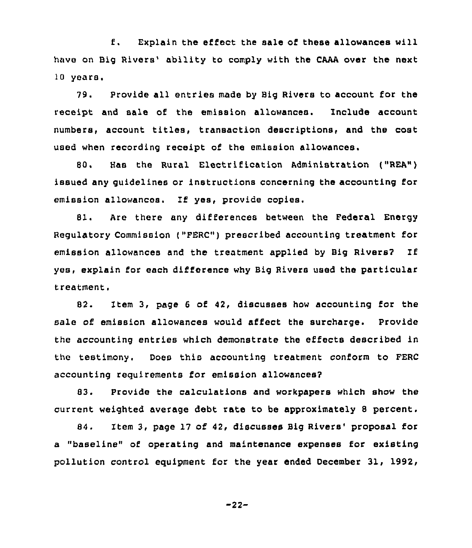f. Explain the effect the sale of these allowances will have on Big Rivers' ability to comply with the CAAA over the next 10 years.

79. Provide all entries made by Big Rivers to account for the receipt and sale of the emission allowances. Include account numbers, account titles, transaction descriptions, and the cost used when recording receipt of the emission allowances.

80, Has the Rural Electrification Administration ("REA") issued any guidelines or instructions concerning the accounting for emission allowances. If yes, provide copies.

81. Are there any differences between the Federal Energy Regulatory Commission ("FERC") prescribed accounting treatment for emission allowances and the treatment applied by Big Rivers? If yes, explain for each difference why Big Rivers used the particular treatment.

82. Item 3, page <sup>6</sup> of 42, discusses how accounting for the sale of emission allowances would affect the surcharge. Provide the accounting entries which demonstrate the effects described in the testimony. Does this accounting treatment conform to FERC accounting reguirements for emission allowances?

83. Provide the calculations and workpapers which show the current weighted average debt rate to be approximately <sup>8</sup> percent.

84. Item 3, page 17 of 42, discusses Big Rivers' proposal for a "baseline" of operating and maintenance expenses for existing pollution control equipment for the year ended December 31, 1992,

$$
-22-
$$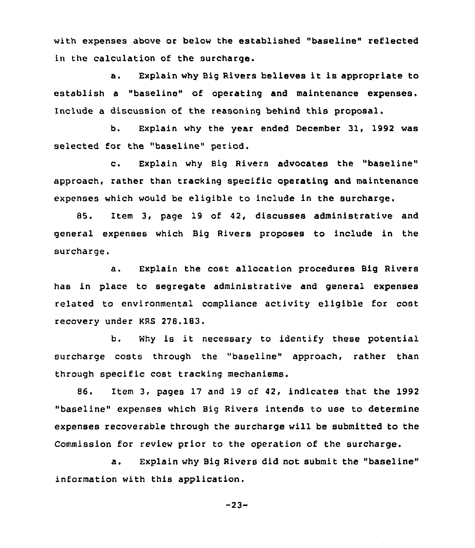with expenses above or below the established "baseline" reflected in the calculation of the surcharqe.

a. Explain why Big Rivers believes it is appropriate to establish a "baseline" of operating and maintenance expenses. Include a discussion of the reasoninq behind this proposal.

b, Explain why the year ended December 31, 1992 was selected for the "baseline" period.

c. Explain why Big Rivers advocates the "baseline" approach, rather than trackinq specific operating and maintenance expenses which would be eligible to include in the surcharge.

85. Item 3, page 19 of 42, discusses administrative and general expenses which Biq Rivers proposes to include in the surcharge.

a. Explain the cost allocation procedures Big Rivers has in place to segregate administrative and general expenses related to environmental compliance activity eligible for cost recovery under KRS 278,183.

b. Why is it necessary to identify these potential surcharge costs through the "baseline" approach, rather than through specific cost tracking mechanisms.

86. Item 3, pages 17 and 19 of 42, indicates that the 1992 "baseline" expenses which Big Rivers intends to use to determine expenses recoverable through the surcharge will be submitted to the Commission for review prior to the operation of the surcharge.

a. Explain why Big Rivers did not submit the "baseline" information with this application.

 $-23-$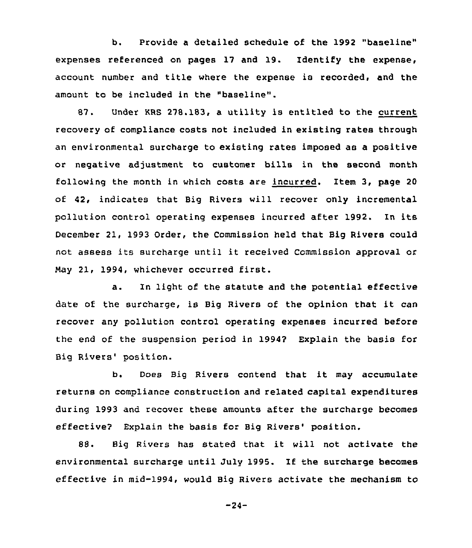b. Provide a detailed schedule of the 1992 "baseline" expenses referenced on pages 17 and 19. Identify the expense, account number and title where the expense is recorded, and the amount to be included in the "baseline".

87. Under KRS 278.183, a utility is entitled to the current recovery of compliance costs not included in existing rates through an environmental surcharge to existing rates imposed as a positive or negative adjustment to customer bills in the second month following the month in which costs are incurred. Item 3, page 20 of 42, indicates that Big Rivers will recover only incremental pollution control operating expenses incurred after 1992. In its December 21, 1993 Order, the Commission held that Big Rivers could not assess its surcharge until it received Commission approval or May 21, 1994, whichever occurred first.

a. In light of the statute and the potential effective date of the surcharge, is Big Rivers of the opinion that it can recover any pollution control operating expenses incurred before the end of the suspension period in 19942 Explain the basis for Big Rivers' position.

b. Does Big Rivers contend that it may accumulate returns on compliance construction and related capital expenditures during 1993 and recover these amounts after the surcharge becomes effective? Explain the basis for Big Rivers' position.

88. Big Rivers has stated that it will not activate the environmental surcharge until July 1995. If the surcharge becomes effective in mid-1994, would Big Rivers activate the mechanism to

 $-24-$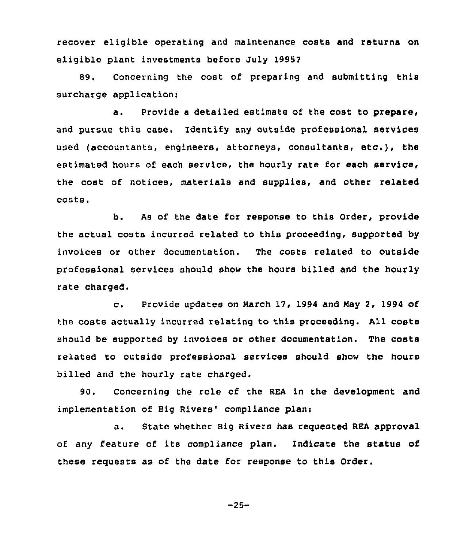recover eligible operating and maintenance costs and returns on eligible plant investments before July 1995?

89. Concerning the cost of preparing and submitting this surcharge application:

a. Provide <sup>a</sup> detailed estimate of the cost to prepare, and pursue this case. Identify any outside professional services used (accountants, engineers, attorneys, consultants, etc.), the estimated hours of each service, the hourly rate for each service, the cost of notices, materials and supplies, and other related costs <sup>~</sup>

b. As of the date for response to this Order, provide the actual costs incurred related to this proceeding, supported by invoices or other documentation. The costs related to outside professional services should show the hours billed and the hourly rate charged.

c. Provide updates on March 17, <sup>1994</sup> and Nay 2, 1994 of the costs actually incurred relating to this proceeding. All costs should be supported by invoices or other documentation. The costs related to outside professional services should show the hours billed and the hourly rate charged.

90. Concerning the role of the REA in the development and implementation of Big Rivers' compliance plan:

a. State whether Big Rivers has requested REA approval of any feature of its compliance plan. Indicate the status of these requests as of the date for response to this Order.

 $-25-$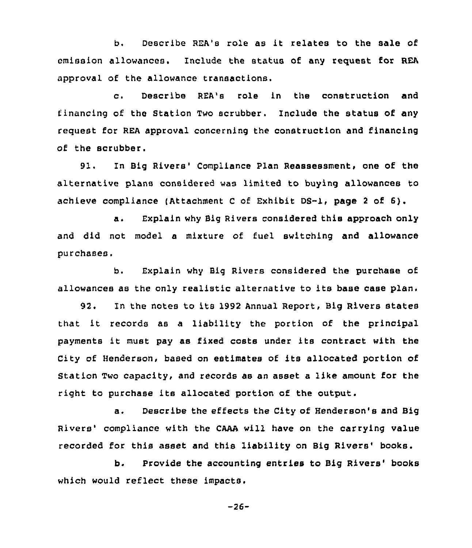b. Describe REA's role as it relates to the sale of emission allowances. Include the status of any request for REA approval of the allowance transactions.

c. Describe REA's role in the construction and financing of the Station Two scrubber. Include the status of any request for REA approval concerning the construction and financing of the scrubber.

91. In Big Rivers' Compliance Plan Reassessment, one of the alternative plans considered was limited to buying allowances to achieve compliance (Attachment <sup>C</sup> of Exhibit DS-1, page <sup>2</sup> of 6).

a. Explain why Big Rivers considered this approach only and did not model a mixture of fuel switching and allowance purchases.

b. Explain why Big Rivers considered the purchase of allowances as the only realistic alternative to its base case plan.

92. In the notes to its 1992 Annual Report, Big Rivers states that it records as <sup>a</sup> liability the portion of the principal payments it must pay as fixed costs under its contract with the City of Henderson, based on estimates of its allocated portion of Station Two capacity, and records as an asset a like amount for the right to purchase its allocated portion of the output.

a. Describe the effects the City of Henderson's and Big Rivers'ompliance with the CAAA will have on the carrying value recorded for this asset and this liability on Big Rivers' books.

b. Provide the accounting entries to Big Rivers' books which would reflect these impacts.

 $-26-$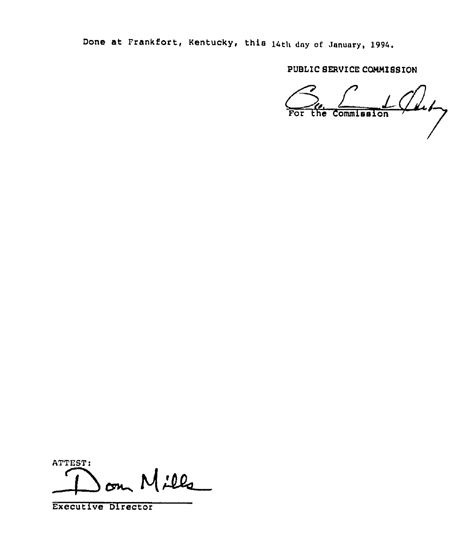Done at Frankfort, Kentucky, this 14th dny of January, 1994.

PUBLIC SERVICE CQNNISSION

 $\mathcal{S}_{\text{ref}}$   $\mathcal{C}_{\text{inter}}$ 

ATTEST: Mills —

Executive Director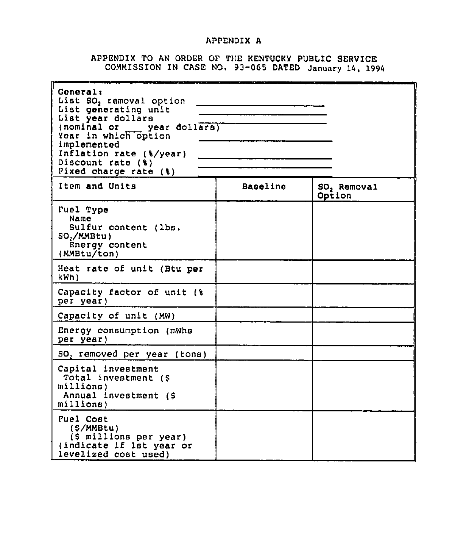# APPENDIX A

# APPENDIX TO AN ORDER OF THE KENTUCKY PUBLIC SERVICE<br>COMMISSION IN CASE NO. 93-065 DATED January 14, 1994

| <b>General:</b><br>List SO <sub>2</sub> removal option<br>List generating unit<br>List year dollars<br>(nominal or year dollars)<br>Year in which option<br>implemented<br>Inflation rate (%/year)<br>Discount rate (%)<br>Fixed charge rate (%) |          |                                   |
|--------------------------------------------------------------------------------------------------------------------------------------------------------------------------------------------------------------------------------------------------|----------|-----------------------------------|
| Item and Units                                                                                                                                                                                                                                   | Baseline | SO <sub>2</sub> Removal<br>Option |
| Fuel Type<br>Name<br>Sulfur content (lbs.<br>$SO_2/MMBtu$ )<br>Energy content<br>(MMBtu/ton)                                                                                                                                                     |          |                                   |
| Heat rate of unit (Btu per<br>kWh)                                                                                                                                                                                                               |          |                                   |
| Capacity factor of unit (%)<br>per year)                                                                                                                                                                                                         |          |                                   |
| Capacity of unit (MW)                                                                                                                                                                                                                            |          |                                   |
| Energy consumption (mWhs<br>per year)                                                                                                                                                                                                            |          |                                   |
| $SO2$ removed per year (tons)                                                                                                                                                                                                                    |          |                                   |
| Capital investment<br>Total investment (\$<br>millions)<br>Annual investment (\$<br>millions)                                                                                                                                                    |          |                                   |
| <b>Fuel Cost</b><br>(\$/MMBtu)<br>(\$ millions per year)<br>(indicate if lat year or<br>levelized cost used)                                                                                                                                     |          |                                   |